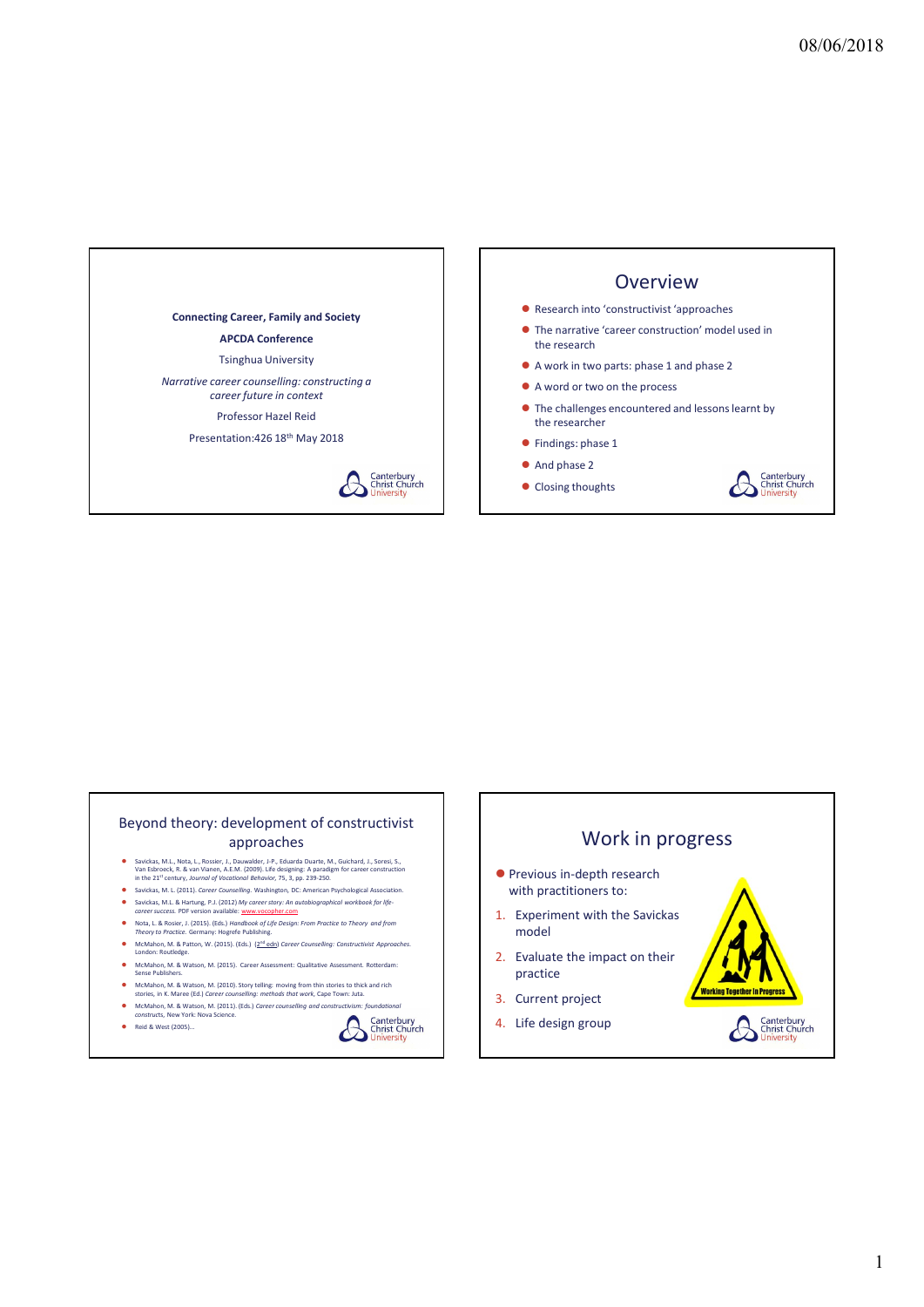

## Beyond theory: development of constructivist approaches

- Savickas, M.L., Nota, L., Rossier, J., Dauwalder, J-P., Eduarda Duarte, M., Guichard, J., Soresi, S.,<br>Van Esbroeck, R. & van Vianen, A.E.M. (2009). Life designing: A paradigm for career construction<br>In the 21<sup>st</sup> century,
- Savickas, M. L. (2011). Career Counselling. Washington, DC: American Psychological Association.
- 
- Nota, L. & Rosier, J. (2015). (Eds.) Handbook of Life Design: From Practice to Theory and from<br>Theory to Practice. Germany: Hogrefe Publishing. McMahon, M. & Patton, W. (2015). (Eds.) (2<sup>nd</sup> edn) Career Counselling: Constructivist Approaches<br>London: Routledge.
- McMahon, M. & Watson, M. (2015). Career Assessment: Qualitative Assessment. Rotterdam: Sense Publishers.
- الحساس McMahon, M. & Watson, M. (2010). Story telling: moving from thin stories to thick and rich<br>stories, in K. Maree (Ed.) *Career counselling: methods that work,* Cape Town: Juta.<br>-
- McMahon, M. & Watson, M. (2011). (Eds.) Career counselling and constructivism: foundational constructs, New York: Nova Science.
- 
- 





## 1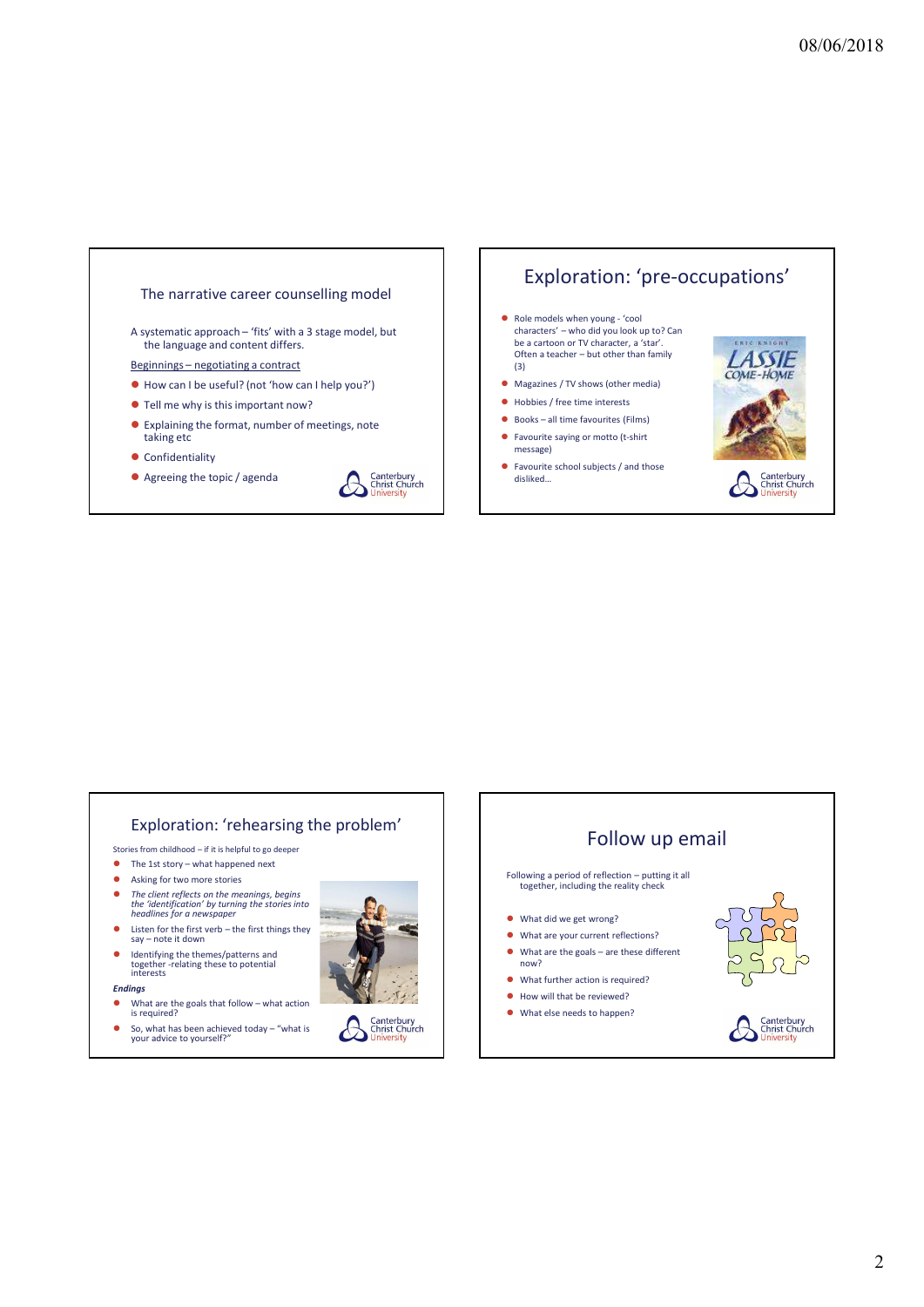

## Exploration: 'pre-occupations'

- be a cartoon or TV character, a 'star'.<br>Often a teacher but other than family (3)
- 
- Hobbies / free time interests
- 
- message)
- Favourite school subjects / and those<br>disliked...<br>
Christ Church<br>
Christ Church



## Exploration: 'rehearsing the problem'

- 
- 
- 
- the 'identification' by turning the stories into<br>headlines for a newspaper
- 
- Identifying the themes/patterns and<br>together -relating these to potential<br>interests
- Endings
- What are the goals that follow what action<br>is required?<br>So, what has been achieved today "what is<br>your advice to yourself?"
- So, what has been achieved today  $-$  "what is your advice to yourself?"



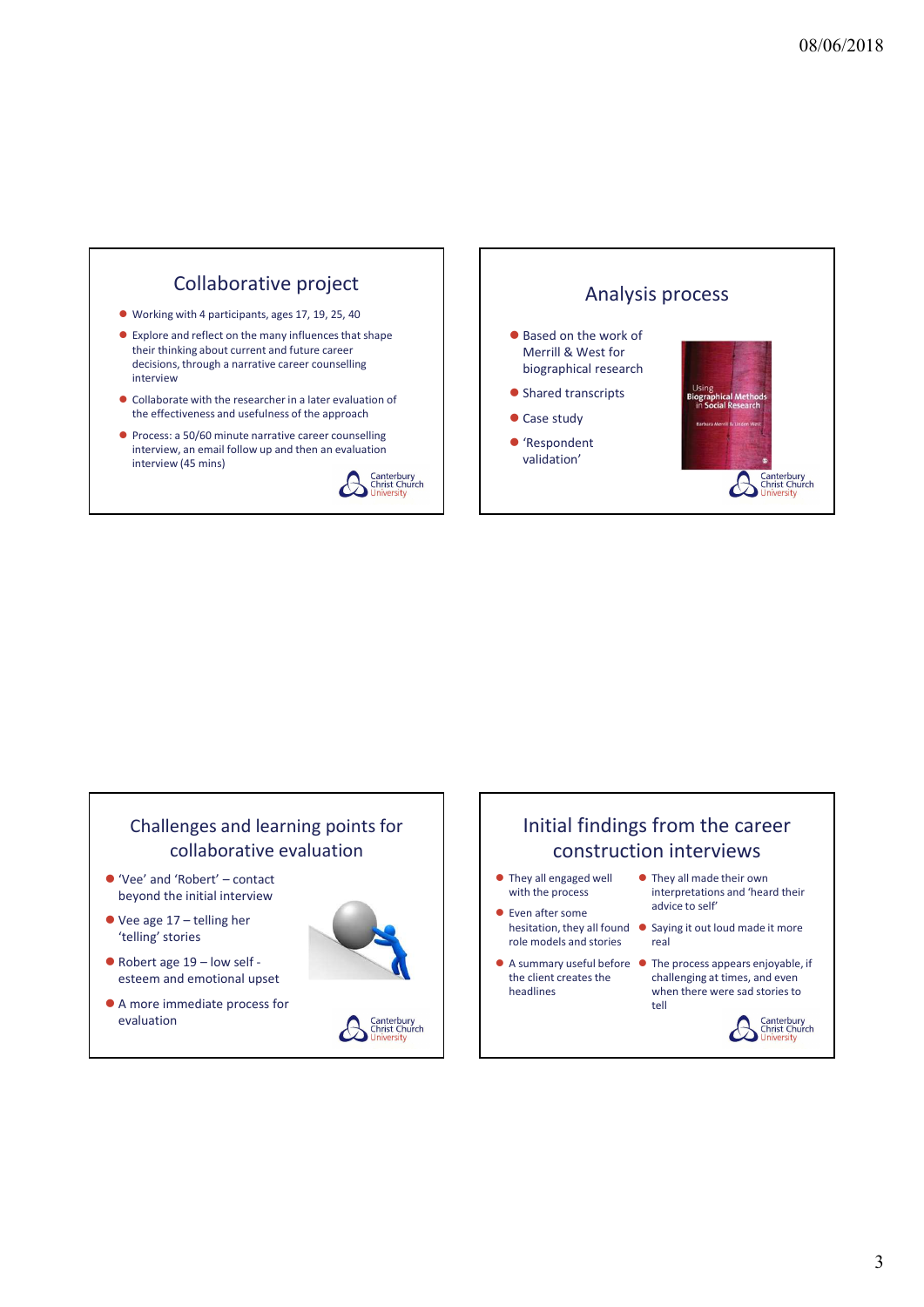

## Challenges and learning points for collaborative evaluation

- beyond the initial interview and the initial interview with the process
- 'telling' stories
- esteem and emotional upset
- A more immediate process for evaluation and the content of the chiral chiral chiral chiral chiral chiral chiral chiral chiral chiral chiral chiral chiral chiral chiral chiral chiral chiral chiral chiral chiral chiral chiral chiral chiral chiral chiral





## Challenges and learning points for<br>
collaborative evaluation<br>  $\bullet$  Vee' and 'Robert' – contact<br>
beyond the initial since<br>  $\bullet$  and "Robert" – contact<br>
beyond the initial since<br>  $\bullet$  and "Robert" – contact<br>  $\bullet$  They all e Challenges and learning points for<br>
collaborative evaluation<br>  $\bullet$  Were and "Robert" - contact<br>  $\bullet$  Were all thin the process well are the strengthend of the strengthend of the strengthend of the strengthend of the stren Initial findings from the career construction interviews ● They all engaged well ● They all made their own

- 
- Even after some role models and stories
- A summary useful before The process appears enjoyable, if the client creates the
- with the process interpretations and 'heard their advice to self'
- hesitation, they all found  $\bullet$  Saying it out loud made it more real
	- headlines when there were sad stories to challenging at times, and even tell